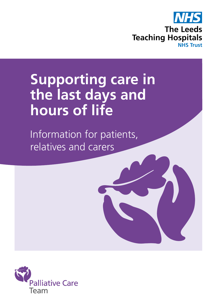

# **Supporting care in the last days and hours of life**

Information for patients, relatives and carers

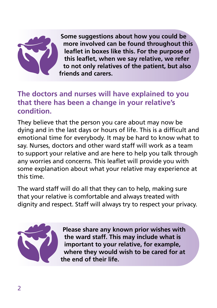

**Some suggestions about how you could be more involved can be found throughout this leaflet in boxes like this. For the purpose of this leaflet, when we say relative, we refer to not only relatives of the patient, but also friends and carers.** 

## **The doctors and nurses will have explained to you that there has been a change in your relative's condition.**

They believe that the person you care about may now be dying and in the last days or hours of life. This is a difficult and emotional time for everybody. It may be hard to know what to say. Nurses, doctors and other ward staff will work as a team to support your relative and are here to help you talk through any worries and concerns. This leaflet will provide you with some explanation about what your relative may experience at this time.

The ward staff will do all that they can to help, making sure that your relative is comfortable and always treated with dignity and respect. Staff will always try to respect your privacy.



**Please share any known prior wishes with the ward staff. This may include what is important to your relative, for example, where they would wish to be cared for at the end of their life.**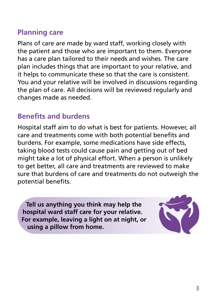# **Planning care**

Plans of care are made by ward staff, working closely with the patient and those who are important to them. Everyone has a care plan tailored to their needs and wishes. The care plan includes things that are important to your relative, and it helps to communicate these so that the care is consistent. You and your relative will be involved in discussions regarding the plan of care. All decisions will be reviewed regularly and changes made as needed.

# **Benefits and burdens**

Hospital staff aim to do what is best for patients. However, all care and treatments come with both potential benefits and burdens. For example, some medications have side effects, taking blood tests could cause pain and getting out of bed might take a lot of physical effort. When a person is unlikely to get better, all care and treatments are reviewed to make sure that burdens of care and treatments do not outweigh the potential benefits.

**Tell us anything you think may help the hospital ward staff care for your relative. For example, leaving a light on at night, or using a pillow from home.**

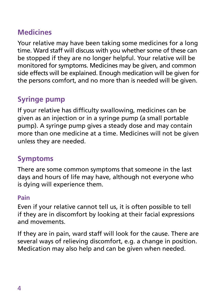# **Medicines**

Your relative may have been taking some medicines for a long time. Ward staff will discuss with you whether some of these can be stopped if they are no longer helpful. Your relative will be monitored for symptoms. Medicines may be given, and common side effects will be explained. Enough medication will be given for the persons comfort, and no more than is needed will be given.

# **Syringe pump**

If your relative has difficulty swallowing, medicines can be given as an injection or in a syringe pump (a small portable pump). A syringe pump gives a steady dose and may contain more than one medicine at a time. Medicines will not be given unless they are needed.

# **Symptoms**

There are some common symptoms that someone in the last days and hours of life may have, although not everyone who is dying will experience them.

#### **Pain**

Even if your relative cannot tell us, it is often possible to tell if they are in discomfort by looking at their facial expressions and movements.

If they are in pain, ward staff will look for the cause. There are several ways of relieving discomfort, e.g. a change in position. Medication may also help and can be given when needed.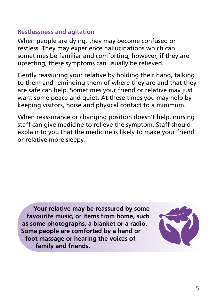#### **Restlessness and agitation**

When people are dying, they may become confused or restless. They may experience hallucinations which can sometimes be familiar and comforting, however, if they are upsetting, these symptoms can usually be relieved.

Gently reassuring your relative by holding their hand, talking to them and reminding them of where they are and that they are safe can help. Sometimes your friend or relative may just want some peace and quiet. At these times you may help by keeping visitors, noise and physical contact to a minimum.

When reassurance or changing position doesn't help, nursing staff can give medicine to relieve the symptom. Staff should explain to you that the medicine is likely to make your friend or relative more sleepy.

**Your relative may be reassured by some favourite music, or items from home, such as some photographs, a blanket or a radio. Some people are comforted by a hand or foot massage or hearing the voices of family and friends.**

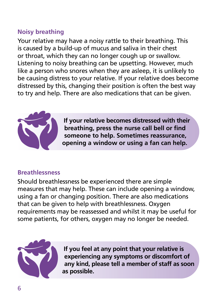## **Noisy breathing**

Your relative may have a noisy rattle to their breathing. This is caused by a build-up of mucus and saliva in their chest or throat, which they can no longer cough up or swallow. Listening to noisy breathing can be upsetting. However, much like a person who snores when they are asleep, it is unlikely to be causing distress to your relative. If your relative does become distressed by this, changing their position is often the best way to try and help. There are also medications that can be given.



**If your relative becomes distressed with their breathing, press the nurse call bell or find someone to help. Sometimes reassurance, opening a window or using a fan can help.**

## **Breathlessness**

Should breathlessness be experienced there are simple measures that may help. These can include opening a window, using a fan or changing position. There are also medications that can be given to help with breathlessness. Oxygen requirements may be reassessed and whilst it may be useful for some patients, for others, oxygen may no longer be needed.



**If you feel at any point that your relative is experiencing any symptoms or discomfort of any kind, please tell a member of staff as soon as possible.**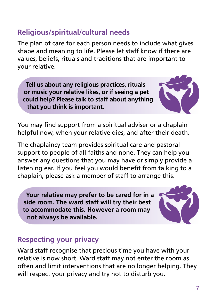## **Religious/spiritual/cultural needs**

The plan of care for each person needs to include what gives shape and meaning to life. Please let staff know if there are values, beliefs, rituals and traditions that are important to your relative.

**Tell us about any religious practices, rituals or music your relative likes, or if seeing a pet could help? Please talk to staff about anything that you think is important.**



The chaplaincy team provides spiritual care and pastoral support to people of all faiths and none. They can help you answer any questions that you may have or simply provide a listening ear. If you feel you would benefit from talking to a chaplain, please ask a member of staff to arrange this.

**Your relative may prefer to be cared for in a side room. The ward staff will try their best to accommodate this. However a room may not always be available.**

## **Respecting your privacy**

Ward staff recognise that precious time you have with your relative is now short. Ward staff may not enter the room as often and limit interventions that are no longer helping. They will respect your privacy and try not to disturb you.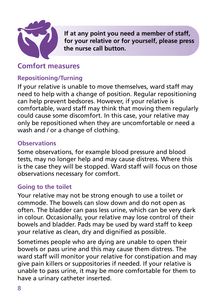

**If at any point you need a member of staff, for your relative or for yourself, please press the nurse call button.**

## **Comfort measures**

## **Repositioning/Turning**

If your relative is unable to move themselves, ward staff may need to help with a change of position. Regular repositioning can help prevent bedsores. However, if your relative is comfortable, ward staff may think that moving them regularly could cause some discomfort. In this case, your relative may only be repositioned when they are uncomfortable or need a wash and / or a change of clothing.

#### **Observations**

Some observations, for example blood pressure and blood tests, may no longer help and may cause distress. Where this is the case they will be stopped. Ward staff will focus on those observations necessary for comfort.

#### **Going to the toilet**

Your relative may not be strong enough to use a toilet or commode. The bowels can slow down and do not open as often. The bladder can pass less urine, which can be very dark in colour. Occasionally, your relative may lose control of their bowels and bladder. Pads may be used by ward staff to keep your relative as clean, dry and dignified as possible.

Sometimes people who are dying are unable to open their bowels or pass urine and this may cause them distress. The ward staff will monitor your relative for constipation and may give pain killers or suppositories if needed. If your relative is unable to pass urine, it may be more comfortable for them to have a urinary catheter inserted.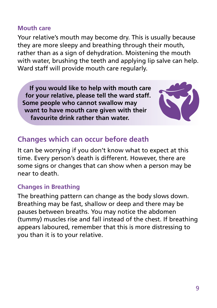#### **Mouth care**

Your relative's mouth may become dry. This is usually because they are more sleepy and breathing through their mouth, rather than as a sign of dehydration. Moistening the mouth with water, brushing the teeth and applying lip salve can help. Ward staff will provide mouth care regularly.

**If you would like to help with mouth care for your relative, please tell the ward staff. Some people who cannot swallow may want to have mouth care given with their favourite drink rather than water.** 



## **Changes which can occur before death**

It can be worrying if you don't know what to expect at this time. Every person's death is different. However, there are some signs or changes that can show when a person may be near to death.

#### **Changes in Breathing**

The breathing pattern can change as the body slows down. Breathing may be fast, shallow or deep and there may be pauses between breaths. You may notice the abdomen (tummy) muscles rise and fall instead of the chest. If breathing appears laboured, remember that this is more distressing to you than it is to your relative.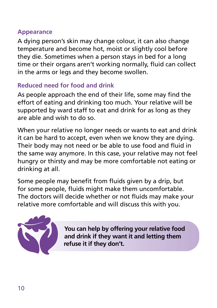#### **Appearance**

A dying person's skin may change colour, it can also change temperature and become hot, moist or slightly cool before they die. Sometimes when a person stays in bed for a long time or their organs aren't working normally, fluid can collect in the arms or legs and they become swollen.

## **Reduced need for food and drink**

As people approach the end of their life, some may find the effort of eating and drinking too much. Your relative will be supported by ward staff to eat and drink for as long as they are able and wish to do so.

When your relative no longer needs or wants to eat and drink it can be hard to accept, even when we know they are dying. Their body may not need or be able to use food and fluid in the same way anymore. In this case, your relative may not feel hungry or thirsty and may be more comfortable not eating or drinking at all.

Some people may benefit from fluids given by a drip, but for some people, fluids might make them uncomfortable. The doctors will decide whether or not fluids may make your relative more comfortable and will discuss this with you.



**You can help by offering your relative food and drink if they want it and letting them refuse it if they don't.**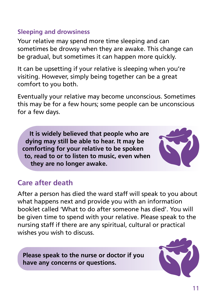### **Sleeping and drowsiness**

Your relative may spend more time sleeping and can sometimes be drowsy when they are awake. This change can be gradual, but sometimes it can happen more quickly.

It can be upsetting if your relative is sleeping when you're visiting. However, simply being together can be a great comfort to you both.

Eventually your relative may become unconscious. Sometimes this may be for a few hours; some people can be unconscious for a few days.

**It is widely believed that people who are dying may still be able to hear. It may be comforting for your relative to be spoken to, read to or to listen to music, even when they are no longer awake.**



# **Care after death**

After a person has died the ward staff will speak to you about what happens next and provide you with an information booklet called 'What to do after someone has died'. You will be given time to spend with your relative. Please speak to the nursing staff if there are any spiritual, cultural or practical wishes you wish to discuss.

**Please speak to the nurse or doctor if you have any concerns or questions.**

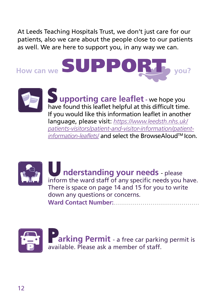At Leeds Teaching Hospitals Trust, we don't just care for our patients, also we care about the people close to our patients as well. We are here to support you, in any way we can.





have found this leaflet helpful at this difficult time. **S** upporting care leaflet - we hope you If you would like this information leaflet in another language, please visit: *https://www.leedsth.nhs.uk/ patients-visitors/patient-and-visitor-information/patientinformation-leaflets/* and select the BrowseAloudTM Icon.



U nderstanding your needs - please inform the ward staff of any specific needs you have. P There is space on page 14 and 15 for you to write down any questions or concerns. Ward Contact Number:

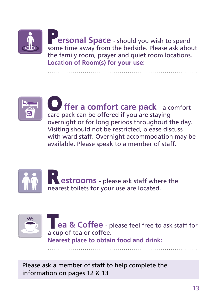

**Location of Room(s) for your use:**



**ffer a comfort care pack** - a comfort care pack can be offered if you are staying overnight or for long periods throughout the day. Visiting should not be restricted, please discuss with ward staff. Overnight accommodation may be available. Please speak to a member of staff.

.............................................................................





**ea & Coffee** - please feel free to ask staff for a cup of tea or coffee. **Nearest place to obtain food and drink:**

.............................................................................

Please ask a member of staff to help complete the information on pages 12 & 13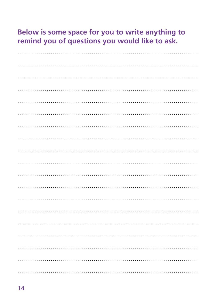# Below is some space for you to write anything to remind you of questions you would like to ask.